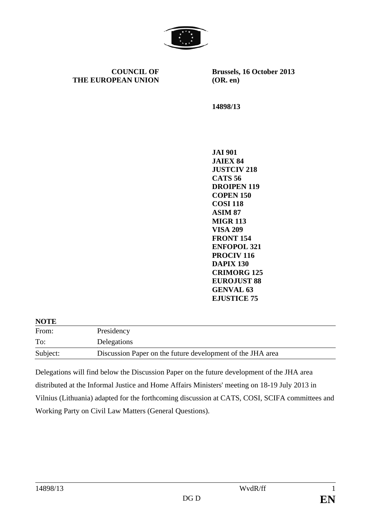

**COUNCIL OF THE EUROPEAN UNION** **Brussels, 16 October 2013 (OR. en)** 

**14898/13** 

**JAI 901 JAIEX 84 JUSTCIV 218 CATS 56 DROIPEN 119 COPEN 150 COSI 118 ASIM 87 MIGR 113 VISA 209 FRONT 154 ENFOPOL 321 PROCIV 116 DAPIX 130 CRIMORG 125 EUROJUST 88 GENVAL 63 EJUSTICE 75** 

**NOTE** 

| .        |                                                            |
|----------|------------------------------------------------------------|
| From:    | Presidency                                                 |
| To:      | Delegations                                                |
| Subject: | Discussion Paper on the future development of the JHA area |

Delegations will find below the Discussion Paper on the future development of the JHA area distributed at the Informal Justice and Home Affairs Ministers' meeting on 18-19 July 2013 in Vilnius (Lithuania) adapted for the forthcoming discussion at CATS, COSI, SCIFA committees and Working Party on Civil Law Matters (General Questions).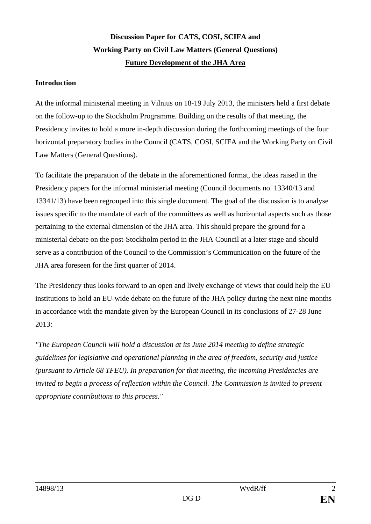## **Discussion Paper for CATS, COSI, SCIFA and Working Party on Civil Law Matters (General Questions) Future Development of the JHA Area**

## **Introduction**

At the informal ministerial meeting in Vilnius on 18-19 July 2013, the ministers held a first debate on the follow-up to the Stockholm Programme. Building on the results of that meeting, the Presidency invites to hold a more in-depth discussion during the forthcoming meetings of the four horizontal preparatory bodies in the Council (CATS, COSI, SCIFA and the Working Party on Civil Law Matters (General Questions).

To facilitate the preparation of the debate in the aforementioned format, the ideas raised in the Presidency papers for the informal ministerial meeting (Council documents no. 13340/13 and 13341/13) have been regrouped into this single document. The goal of the discussion is to analyse issues specific to the mandate of each of the committees as well as horizontal aspects such as those pertaining to the external dimension of the JHA area. This should prepare the ground for a ministerial debate on the post-Stockholm period in the JHA Council at a later stage and should serve as a contribution of the Council to the Commission's Communication on the future of the JHA area foreseen for the first quarter of 2014.

The Presidency thus looks forward to an open and lively exchange of views that could help the EU institutions to hold an EU-wide debate on the future of the JHA policy during the next nine months in accordance with the mandate given by the European Council in its conclusions of 27-28 June 2013:

*"The European Council will hold a discussion at its June 2014 meeting to define strategic guidelines for legislative and operational planning in the area of freedom, security and justice (pursuant to Article 68 TFEU). In preparation for that meeting, the incoming Presidencies are invited to begin a process of reflection within the Council. The Commission is invited to present appropriate contributions to this process."*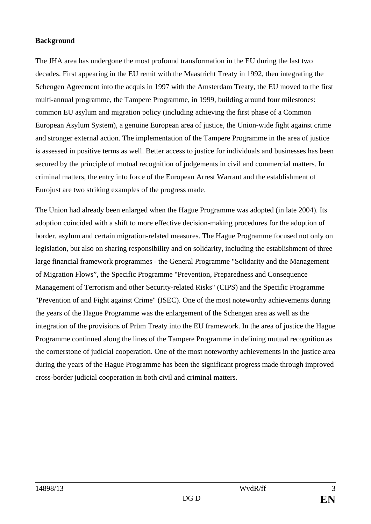## **Background**

The JHA area has undergone the most profound transformation in the EU during the last two decades. First appearing in the EU remit with the Maastricht Treaty in 1992, then integrating the Schengen Agreement into the acquis in 1997 with the Amsterdam Treaty, the EU moved to the first multi-annual programme, the Tampere Programme, in 1999, building around four milestones: common EU asylum and migration policy (including achieving the first phase of a Common European Asylum System), a genuine European area of justice, the Union-wide fight against crime and stronger external action. The implementation of the Tampere Programme in the area of justice is assessed in positive terms as well. Better access to justice for individuals and businesses has been secured by the principle of mutual recognition of judgements in civil and commercial matters. In criminal matters, the entry into force of the European Arrest Warrant and the establishment of Eurojust are two striking examples of the progress made.

The Union had already been enlarged when the Hague Programme was adopted (in late 2004). Its adoption coincided with a shift to more effective decision-making procedures for the adoption of border, asylum and certain migration-related measures. The Hague Programme focused not only on legislation, but also on sharing responsibility and on solidarity, including the establishment of three large financial framework programmes - the General Programme "Solidarity and the Management of Migration Flows", the Specific Programme "Prevention, Preparedness and Consequence Management of Terrorism and other Security-related Risks" (CIPS) and the Specific Programme "Prevention of and Fight against Crime" (ISEC). One of the most noteworthy achievements during the years of the Hague Programme was the enlargement of the Schengen area as well as the integration of the provisions of Prüm Treaty into the EU framework. In the area of justice the Hague Programme continued along the lines of the Tampere Programme in defining mutual recognition as the cornerstone of judicial cooperation. One of the most noteworthy achievements in the justice area during the years of the Hague Programme has been the significant progress made through improved cross-border judicial cooperation in both civil and criminal matters.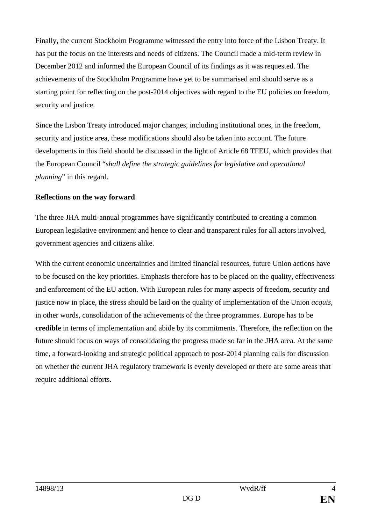Finally, the current Stockholm Programme witnessed the entry into force of the Lisbon Treaty. It has put the focus on the interests and needs of citizens. The Council made a mid-term review in December 2012 and informed the European Council of its findings as it was requested. The achievements of the Stockholm Programme have yet to be summarised and should serve as a starting point for reflecting on the post-2014 objectives with regard to the EU policies on freedom, security and justice.

Since the Lisbon Treaty introduced major changes, including institutional ones, in the freedom, security and justice area, these modifications should also be taken into account. The future developments in this field should be discussed in the light of Article 68 TFEU, which provides that the European Council "*shall define the strategic guidelines for legislative and operational planning*" in this regard.

## **Reflections on the way forward**

The three JHA multi-annual programmes have significantly contributed to creating a common European legislative environment and hence to clear and transparent rules for all actors involved, government agencies and citizens alike.

With the current economic uncertainties and limited financial resources, future Union actions have to be focused on the key priorities. Emphasis therefore has to be placed on the quality, effectiveness and enforcement of the EU action. With European rules for many aspects of freedom, security and justice now in place, the stress should be laid on the quality of implementation of the Union *acquis*, in other words, consolidation of the achievements of the three programmes. Europe has to be **credible** in terms of implementation and abide by its commitments. Therefore, the reflection on the future should focus on ways of consolidating the progress made so far in the JHA area. At the same time, a forward-looking and strategic political approach to post-2014 planning calls for discussion on whether the current JHA regulatory framework is evenly developed or there are some areas that require additional efforts.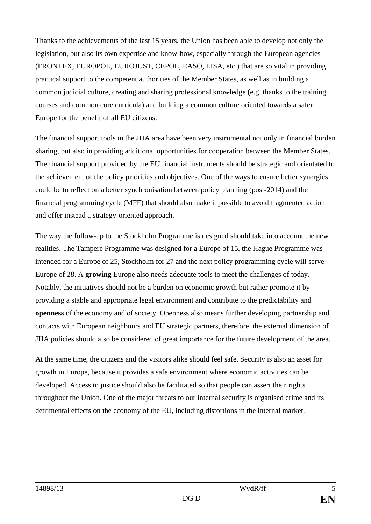Thanks to the achievements of the last 15 years, the Union has been able to develop not only the legislation, but also its own expertise and know-how, especially through the European agencies (FRONTEX, EUROPOL, EUROJUST, CEPOL, EASO, LISA, etc.) that are so vital in providing practical support to the competent authorities of the Member States, as well as in building a common judicial culture, creating and sharing professional knowledge (e.g. thanks to the training courses and common core curricula) and building a common culture oriented towards a safer Europe for the benefit of all EU citizens.

The financial support tools in the JHA area have been very instrumental not only in financial burden sharing, but also in providing additional opportunities for cooperation between the Member States. The financial support provided by the EU financial instruments should be strategic and orientated to the achievement of the policy priorities and objectives. One of the ways to ensure better synergies could be to reflect on a better synchronisation between policy planning (post-2014) and the financial programming cycle (MFF) that should also make it possible to avoid fragmented action and offer instead a strategy-oriented approach.

The way the follow-up to the Stockholm Programme is designed should take into account the new realities. The Tampere Programme was designed for a Europe of 15, the Hague Programme was intended for a Europe of 25, Stockholm for 27 and the next policy programming cycle will serve Europe of 28. A **growing** Europe also needs adequate tools to meet the challenges of today. Notably, the initiatives should not be a burden on economic growth but rather promote it by providing a stable and appropriate legal environment and contribute to the predictability and **openness** of the economy and of society. Openness also means further developing partnership and contacts with European neighbours and EU strategic partners, therefore, the external dimension of JHA policies should also be considered of great importance for the future development of the area.

At the same time, the citizens and the visitors alike should feel safe. Security is also an asset for growth in Europe, because it provides a safe environment where economic activities can be developed. Access to justice should also be facilitated so that people can assert their rights throughout the Union. One of the major threats to our internal security is organised crime and its detrimental effects on the economy of the EU, including distortions in the internal market.